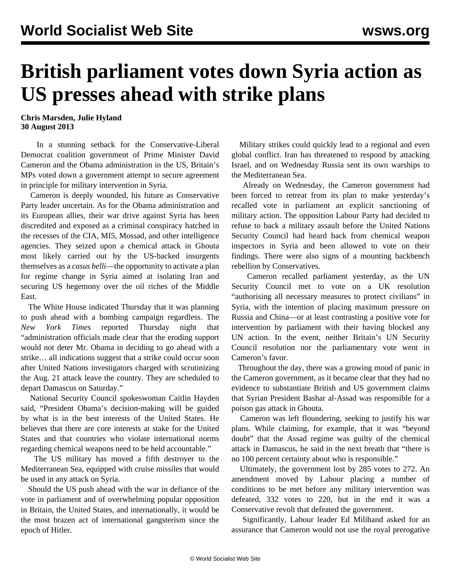## **British parliament votes down Syria action as US presses ahead with strike plans**

## **Chris Marsden, Julie Hyland 30 August 2013**

 In a stunning setback for the Conservative-Liberal Democrat coalition government of Prime Minister David Cameron and the Obama administration in the US, Britain's MPs voted down a government attempt to secure agreement in principle for military intervention in Syria.

 Cameron is deeply wounded, his future as Conservative Party leader uncertain. As for the Obama administration and its European allies, their war drive against Syria has been discredited and exposed as a criminal conspiracy hatched in the recesses of the CIA, MI5, Mossad, and other intelligence agencies. They seized upon a chemical attack in Ghouta most likely carried out by the US-backed insurgents themselves as a *casus belli*—the opportunity to activate a plan for regime change in Syria aimed at isolating Iran and securing US hegemony over the oil riches of the Middle East.

 The White House indicated Thursday that it was planning to push ahead with a bombing campaign regardless. The *New York Times* reported Thursday night that "administration officials made clear that the eroding support would not deter Mr. Obama in deciding to go ahead with a strike… all indications suggest that a strike could occur soon after United Nations investigators charged with scrutinizing the Aug. 21 attack leave the country. They are scheduled to depart Damascus on Saturday."

 National Security Council spokeswoman Caitlin Hayden said, "President Obama's decision-making will be guided by what is in the best interests of the United States. He believes that there are core interests at stake for the United States and that countries who violate international norms regarding chemical weapons need to be held accountable."

 The US military has moved a fifth destroyer to the Mediterranean Sea, equipped with cruise missiles that would be used in any attack on Syria.

 Should the US push ahead with the war in defiance of the vote in parliament and of overwhelming popular opposition in Britain, the United States, and internationally, it would be the most brazen act of international gangsterism since the epoch of Hitler.

 Military strikes could quickly lead to a regional and even global conflict. Iran has threatened to respond by attacking Israel, and on Wednesday Russia sent its own warships to the Mediterranean Sea.

 Already on Wednesday, the Cameron government had been forced to retreat from its plan to make yesterday's recalled vote in parliament an explicit sanctioning of military action. The opposition Labour Party had decided to refuse to back a military assault before the United Nations Security Council had heard back from chemical weapon inspectors in Syria and been allowed to vote on their findings. There were also signs of a mounting backbench rebellion by Conservatives.

 Cameron recalled parliament yesterday, as the UN Security Council met to vote on a UK resolution "authorising all necessary measures to protect civilians" in Syria, with the intention of placing maximum pressure on Russia and China—or at least contrasting a positive vote for intervention by parliament with their having blocked any UN action. In the event, neither Britain's UN Security Council resolution nor the parliamentary vote went in Cameron's favor.

 Throughout the day, there was a growing mood of panic in the Cameron government, as it became clear that they had no evidence to substantiate British and US government claims that Syrian President Bashar al-Assad was responsible for a poison gas attack in Ghouta.

 Cameron was left floundering, seeking to justify his war plans. While claiming, for example, that it was "beyond doubt" that the Assad regime was guilty of the chemical attack in Damascus, he said in the next breath that "there is no 100 percent certainty about who is responsible."

 Ultimately, the government lost by 285 votes to 272. An amendment moved by Labour placing a number of conditions to be met before any military intervention was defeated, 332 votes to 220, but in the end it was a Conservative revolt that defeated the government.

 Significantly, Labour leader Ed Miliband asked for an assurance that Cameron would not use the royal prerogative